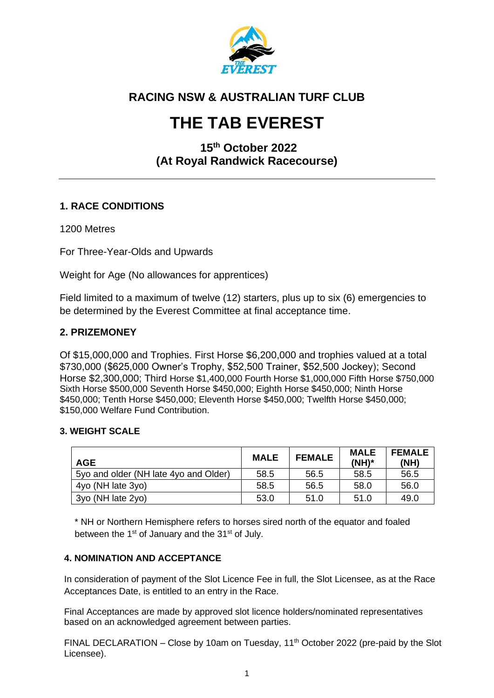

# **RACING NSW & AUSTRALIAN TURF CLUB**

# **THE TAB EVEREST**

# **15 th October 2022 (At Royal Randwick Racecourse)**

## **1. RACE CONDITIONS**

1200 Metres

For Three-Year-Olds and Upwards

Weight for Age (No allowances for apprentices)

Field limited to a maximum of twelve (12) starters, plus up to six (6) emergencies to be determined by the Everest Committee at final acceptance time.

## **2. PRIZEMONEY**

Of \$15,000,000 and Trophies. First Horse \$6,200,000 and trophies valued at a total \$730,000 (\$625,000 Owner's Trophy, \$52,500 Trainer, \$52,500 Jockey); Second Horse \$2,300,000; Third Horse \$1,400,000 Fourth Horse \$1,000,000 Fifth Horse \$750,000 Sixth Horse \$500,000 Seventh Horse \$450,000; Eighth Horse \$450,000; Ninth Horse \$450,000; Tenth Horse \$450,000; Eleventh Horse \$450,000; Twelfth Horse \$450,000; \$150,000 Welfare Fund Contribution.

#### **3. WEIGHT SCALE**

| <b>AGE</b>                            | <b>MALE</b> | <b>FEMALE</b> | <b>MALE</b><br>$(NH)^*$ | <b>FEMALE</b><br>(NH) |
|---------------------------------------|-------------|---------------|-------------------------|-----------------------|
| 5yo and older (NH late 4yo and Older) | 58.5        | 56.5          | 58.5                    | 56.5                  |
| 4yo (NH late 3yo)                     | 58.5        | 56.5          | 58.0                    | 56.0                  |
| 3yo (NH late 2yo)                     | 53.0        | 51.0          | 51.0                    | 49.0                  |

\* NH or Northern Hemisphere refers to horses sired north of the equator and foaled between the 1<sup>st</sup> of January and the 31<sup>st</sup> of July.

#### **4. NOMINATION AND ACCEPTANCE**

In consideration of payment of the Slot Licence Fee in full, the Slot Licensee, as at the Race Acceptances Date, is entitled to an entry in the Race.

Final Acceptances are made by approved slot licence holders/nominated representatives based on an acknowledged agreement between parties.

FINAL DECLARATION – Close by 10am on Tuesday,  $11<sup>th</sup>$  October 2022 (pre-paid by the Slot Licensee).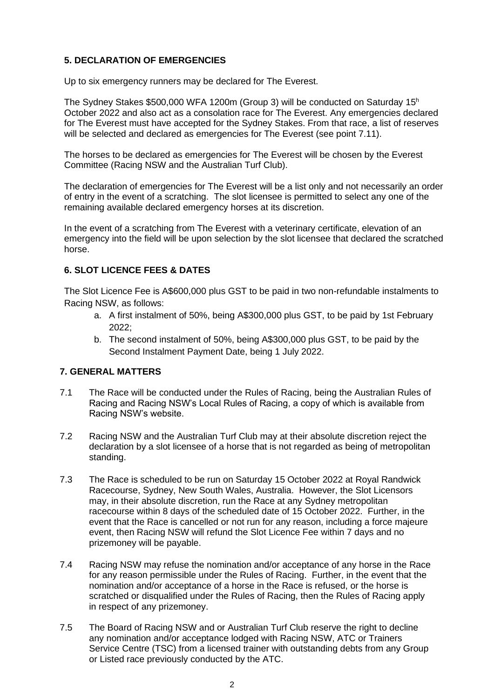#### **5. DECLARATION OF EMERGENCIES**

Up to six emergency runners may be declared for The Everest.

The Sydney Stakes \$500,000 WFA 1200m (Group 3) will be conducted on Saturday 15<sup>h</sup> October 2022 and also act as a consolation race for The Everest. Any emergencies declared for The Everest must have accepted for the Sydney Stakes. From that race, a list of reserves will be selected and declared as emergencies for The Everest (see point 7.11).

The horses to be declared as emergencies for The Everest will be chosen by the Everest Committee (Racing NSW and the Australian Turf Club).

The declaration of emergencies for The Everest will be a list only and not necessarily an order of entry in the event of a scratching. The slot licensee is permitted to select any one of the remaining available declared emergency horses at its discretion.

In the event of a scratching from The Everest with a veterinary certificate, elevation of an emergency into the field will be upon selection by the slot licensee that declared the scratched horse.

#### **6. SLOT LICENCE FEES & DATES**

The Slot Licence Fee is A\$600,000 plus GST to be paid in two non-refundable instalments to Racing NSW, as follows:

- a. A first instalment of 50%, being A\$300,000 plus GST, to be paid by 1st February 2022;
- b. The second instalment of 50%, being A\$300,000 plus GST, to be paid by the Second Instalment Payment Date, being 1 July 2022.

#### **7. GENERAL MATTERS**

- 7.1 The Race will be conducted under the Rules of Racing, being the Australian Rules of Racing and Racing NSW's Local Rules of Racing, a copy of which is available from Racing NSW's website.
- 7.2 Racing NSW and the Australian Turf Club may at their absolute discretion reject the declaration by a slot licensee of a horse that is not regarded as being of metropolitan standing.
- 7.3 The Race is scheduled to be run on Saturday 15 October 2022 at Royal Randwick Racecourse, Sydney, New South Wales, Australia. However, the Slot Licensors may, in their absolute discretion, run the Race at any Sydney metropolitan racecourse within 8 days of the scheduled date of 15 October 2022. Further, in the event that the Race is cancelled or not run for any reason, including a force majeure event, then Racing NSW will refund the Slot Licence Fee within 7 days and no prizemoney will be payable.
- 7.4 Racing NSW may refuse the nomination and/or acceptance of any horse in the Race for any reason permissible under the Rules of Racing. Further, in the event that the nomination and/or acceptance of a horse in the Race is refused, or the horse is scratched or disqualified under the Rules of Racing, then the Rules of Racing apply in respect of any prizemoney.
- 7.5 The Board of Racing NSW and or Australian Turf Club reserve the right to decline any nomination and/or acceptance lodged with Racing NSW, ATC or Trainers Service Centre (TSC) from a licensed trainer with outstanding debts from any Group or Listed race previously conducted by the ATC.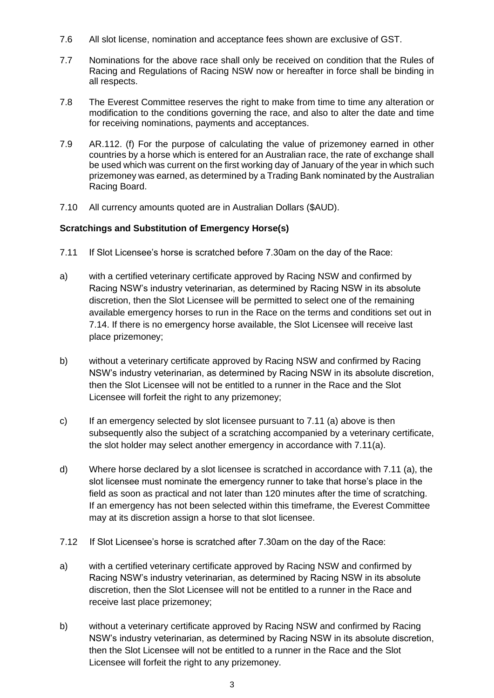- 7.6 All slot license, nomination and acceptance fees shown are exclusive of GST.
- 7.7 Nominations for the above race shall only be received on condition that the Rules of Racing and Regulations of Racing NSW now or hereafter in force shall be binding in all respects.
- 7.8 The Everest Committee reserves the right to make from time to time any alteration or modification to the conditions governing the race, and also to alter the date and time for receiving nominations, payments and acceptances.
- 7.9 AR.112. (f) For the purpose of calculating the value of prizemoney earned in other countries by a horse which is entered for an Australian race, the rate of exchange shall be used which was current on the first working day of January of the year in which such prizemoney was earned, as determined by a Trading Bank nominated by the Australian Racing Board.
- 7.10 All currency amounts quoted are in Australian Dollars (\$AUD).

#### **Scratchings and Substitution of Emergency Horse(s)**

- 7.11 If Slot Licensee's horse is scratched before 7.30am on the day of the Race:
- a) with a certified veterinary certificate approved by Racing NSW and confirmed by Racing NSW's industry veterinarian, as determined by Racing NSW in its absolute discretion, then the Slot Licensee will be permitted to select one of the remaining available emergency horses to run in the Race on the terms and conditions set out in 7.14. If there is no emergency horse available, the Slot Licensee will receive last place prizemoney;
- b) without a veterinary certificate approved by Racing NSW and confirmed by Racing NSW's industry veterinarian, as determined by Racing NSW in its absolute discretion, then the Slot Licensee will not be entitled to a runner in the Race and the Slot Licensee will forfeit the right to any prizemoney;
- c) If an emergency selected by slot licensee pursuant to 7.11 (a) above is then subsequently also the subject of a scratching accompanied by a veterinary certificate, the slot holder may select another emergency in accordance with 7.11(a).
- d) Where horse declared by a slot licensee is scratched in accordance with 7.11 (a), the slot licensee must nominate the emergency runner to take that horse's place in the field as soon as practical and not later than 120 minutes after the time of scratching. If an emergency has not been selected within this timeframe, the Everest Committee may at its discretion assign a horse to that slot licensee.
- 7.12 If Slot Licensee's horse is scratched after 7.30am on the day of the Race:
- a) with a certified veterinary certificate approved by Racing NSW and confirmed by Racing NSW's industry veterinarian, as determined by Racing NSW in its absolute discretion, then the Slot Licensee will not be entitled to a runner in the Race and receive last place prizemoney;
- b) without a veterinary certificate approved by Racing NSW and confirmed by Racing NSW's industry veterinarian, as determined by Racing NSW in its absolute discretion, then the Slot Licensee will not be entitled to a runner in the Race and the Slot Licensee will forfeit the right to any prizemoney.